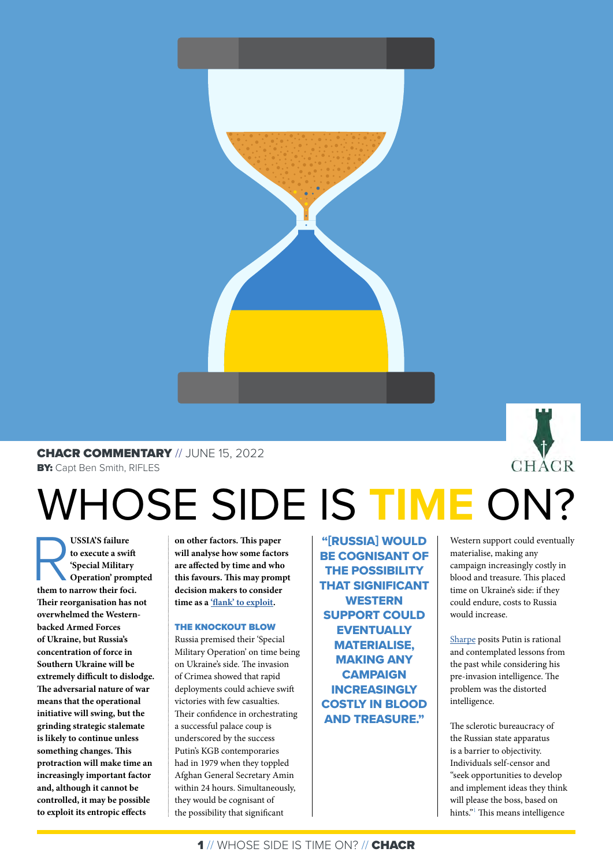

# CHACR COMMENTARY // JUNE 15, 2022

**BY:** Capt Ben Smith, RIFLES

# WHOSE SIDE IS **TIME** ON?

**USSIA'S failure**<br> **to execute a swift**<br> **them to narrow their foci.**<br> **them to narrow their foci. to execute a swift 'Special Military Operation' prompted Their reorganisation has not overwhelmed the Westernbacked Armed Forces of Ukraine, but Russia's concentration of force in Southern Ukraine will be extremely difficult to dislodge. The adversarial nature of war means that the operational initiative will swing, but the grinding strategic stalemate is likely to continue unless something changes. This protraction will make time an increasingly important factor and, although it cannot be controlled, it may be possible to exploit its entropic effects** 

**on other factors. This paper will analyse how some factors are affected by time and who this favours. This may prompt decision makers to consider time as a ['flank' to exploit](https://chacr.org.uk/2020/11/23/re-thinking-time-in-warfare/).** 

## THE KNOCKOUT BLOW

Russia premised their 'Special Military Operation' on time being on Ukraine's side. The invasion of Crimea showed that rapid deployments could achieve swift victories with few casualties. Their confidence in orchestrating a successful palace coup is underscored by the success Putin's KGB contemporaries had in 1979 when they toppled Afghan General Secretary Amin within 24 hours. Simultaneously, they would be cognisant of the possibility that significant

"[RUSSIA] WOULD BE COGNISANT OF THE POSSIBILITY THAT SIGNIFICANT **WESTERN** SUPPORT COULD **EVENTUALLY** MATERIALISE, MAKING ANY **CAMPAIGN** INCREASINGLY COSTLY IN BLOOD AND TREASURE."

Western support could eventually materialise, making any campaign increasingly costly in blood and treasure. This placed time on Ukraine's side: if they could endure, costs to Russia would increase.

**CHACR** 

[Sharpe](https://issuu.com/chacr_camberley/docs/chacr_commentary-_risk_in_ukraine) posits Putin is rational and contemplated lessons from the past while considering his pre-invasion intelligence. The problem was the distorted intelligence.

The sclerotic bureaucracy of the Russian state apparatus is a barrier to objectivity. Individuals self-censor and "seek opportunities to develop and implement ideas they think will please the boss, based on hints."<sup>1</sup> This means intelligence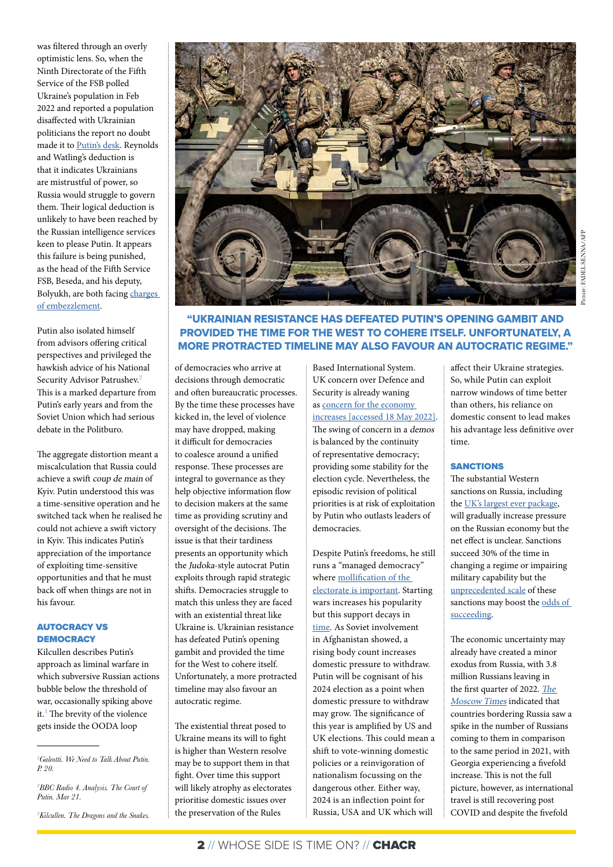was filtered through an overly optimistic lens. So, when the Ninth Directorate of the Fifth Service of the FSB polled Ukraine's population in Feb 2022 and reported a population disaffected with Ukrainian politicians the report no doubt made it to [Putin's desk](https://rusi.org/explore-our-research/publications/commentary/ukraine-through-russias-eyes). Reynolds and Watling's deduction is that it indicates Ukrainians are mistrustful of power, so Russia would struggle to govern them. Their logical deduction is unlikely to have been reached by the Russian intelligence services keen to please Putin. It appears this failure is being punished, as the head of the Fifth Service FSB, Beseda, and his deputy, Bolyukh, are both facing [charges](https://www.thetimes.co.uk/article/kremlin-arrests-fsb-chiefs-in-fallout-from-ukraine-invasion-chaos-92w0829c5)  [of embezzlement](https://www.thetimes.co.uk/article/kremlin-arrests-fsb-chiefs-in-fallout-from-ukraine-invasion-chaos-92w0829c5).

Putin also isolated himself from advisors offering critical perspectives and privileged the hawkish advice of his National Security Advisor Patrushev.<sup>2</sup> This is a marked departure from Putin's early years and from the Soviet Union which had serious debate in the Politburo.

The aggregate distortion meant a miscalculation that Russia could achieve a swift coup de main of Kyiv. Putin understood this was a time-sensitive operation and he switched tack when he realised he could not achieve a swift victory in Kyiv. This indicates Putin's appreciation of the importance of exploiting time-sensitive opportunities and that he must back off when things are not in his favour.

#### AUTOCRACY VS **DEMOCRACY**

Kilcullen describes Putin's approach as liminal warfare in which subversive Russian actions bubble below the threshold of war, occasionally spiking above it.<sup>3</sup> The brevity of the violence gets inside the OODA loop

*2 BBC Radio 4. Analysis. The Court of Putin. Mar 21.* 

*3 Kilcullen. The Dragons and the Snakes.*



# "UKRAINIAN RESISTANCE HAS DEFEATED PUTIN'S OPENING GAMBIT AND PROVIDED THE TIME FOR THE WEST TO COHERE ITSELF. UNFORTUNATELY, A MORE PROTRACTED TIMELINE MAY ALSO FAVOUR AN AUTOCRATIC REGIME."

of democracies who arrive at decisions through democratic and often bureaucratic processes. By the time these processes have kicked in, the level of violence may have dropped, making it difficult for democracies to coalesce around a unified response. These processes are integral to governance as they help objective information flow to decision makers at the same time as providing scrutiny and oversight of the decisions. The issue is that their tardiness presents an opportunity which the Judoka-style autocrat Putin exploits through rapid strategic shifts. Democracies struggle to match this unless they are faced with an existential threat like Ukraine is. Ukrainian resistance has defeated Putin's opening gambit and provided the time for the West to cohere itself. Unfortunately, a more protracted timeline may also favour an autocratic regime.

The existential threat posed to Ukraine means its will to fight is higher than Western resolve may be to support them in that fight. Over time this support will likely atrophy as electorates prioritise domestic issues over the preservation of the Rules

Based International System. UK concern over Defence and Security is already waning as [concern for the economy](https://yougov.co.uk/topics/politics/trackers/the-most-important-issues-facing-the-country)  [increases](https://yougov.co.uk/topics/politics/trackers/the-most-important-issues-facing-the-country) [accessed 18 May 2022]. The swing of concern in a demos is balanced by the continuity of representative democracy; providing some stability for the election cycle. Nevertheless, the episodic revision of political priorities is at risk of exploitation by Putin who outlasts leaders of democracies.

Despite Putin's freedoms, he still runs a "managed democracy" where [mollification of the](https://carnegieendowment.org/2005/10/18/essence-of-putin-s-managed-democracy-event-819)  [electorate is important.](https://carnegieendowment.org/2005/10/18/essence-of-putin-s-managed-democracy-event-819) Starting wars increases his popularity but this support decays in [time](https://www.levada.ru/en/ratings/). As Soviet involvement in Afghanistan showed, a rising body count increases domestic pressure to withdraw. Putin will be cognisant of his 2024 election as a point when domestic pressure to withdraw may grow. The significance of this year is amplified by US and UK elections. This could mean a shift to vote-winning domestic policies or a reinvigoration of nationalism focussing on the dangerous other. Either way, 2024 is an inflection point for Russia, USA and UK which will

affect their Ukraine strategies. So, while Putin can exploit narrow windows of time better than others, his reliance on domestic consent to lead makes his advantage less definitive over time.

## **SANCTIONS**

The substantial Western sanctions on Russia, including the [UK's largest ever package,](https://www.reuters.com/world/west-will-slap-unprecedented-sanctions-russia-britain-says-2022-02-24/) will gradually increase pressure on the Russian economy but the net effect is unclear. Sanctions succeed 30% of the time in changing a regime or impairing military capability but the [unprecedented scale](https://www.piie.com/publications/chapters_preview/4075/06iie4075.pdf) of these sanctions may boost the [odds of](https://commonslibrary.parliament.uk/research-briefings/cbp-9481/)  [succeeding](https://commonslibrary.parliament.uk/research-briefings/cbp-9481/).

The economic uncertainty may already have created a minor exodus from Russia, with 3.8 million Russians leaving in the first quarter of 2022. [The](https://www.themoscowtimes.com/2022/05/06/nearly-4m-russians-left-russia-in-early-2022-fsb-a77603)  [Moscow Times](https://www.themoscowtimes.com/2022/05/06/nearly-4m-russians-left-russia-in-early-2022-fsb-a77603) indicated that countries bordering Russia saw a spike in the number of Russians coming to them in comparison to the same period in 2021, with Georgia experiencing a fivefold increase. This is not the full picture, however, as international travel is still recovering post COVID and despite the fivefold

*<sup>1</sup> Galeotti. We Need to Talk About Putin. P. 20.*